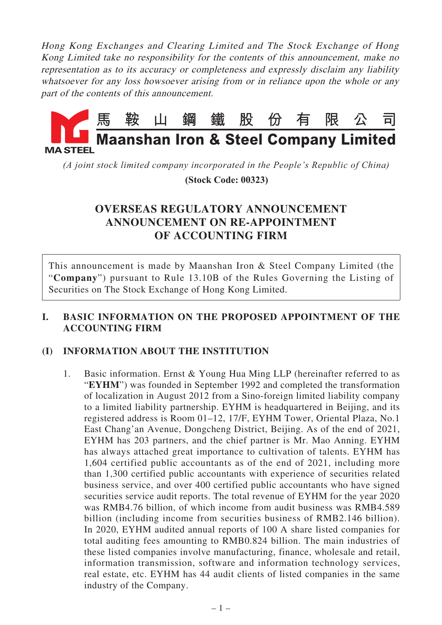Hong Kong Exchanges and Clearing Limited and The Stock Exchange of Hong Kong Limited take no responsibility for the contents of this announcement, make no representation as to its accuracy or completeness and expressly disclaim any liability whatsoever for any loss howsoever arising from or in reliance upon the whole or any part of the contents of this announcement.



*(A joint stock limited company incorporated in the People's Republic of China)*

 **(Stock Code: 00323)**

# **OVERSEAS REGULATORY ANNOUNCEMENT ANNOUNCEMENT ON RE-APPOINTMENT OF ACCOUNTING FIRM**

This announcement is made by Maanshan Iron & Steel Company Limited (the "**Company**") pursuant to Rule 13.10B of the Rules Governing the Listing of Securities on The Stock Exchange of Hong Kong Limited.

# **I. BASIC INFORMATION ON THE PROPOSED APPOINTMENT OF THE ACCOUNTING FIRM**

# **(I) INFORMATION ABOUT THE INSTITUTION**

1. Basic information. Ernst & Young Hua Ming LLP (hereinafter referred to as "**EYHM**") was founded in September 1992 and completed the transformation of localization in August 2012 from a Sino-foreign limited liability company to a limited liability partnership. EYHM is headquartered in Beijing, and its registered address is Room 01–12, 17/F, EYHM Tower, Oriental Plaza, No.1 East Chang'an Avenue, Dongcheng District, Beijing. As of the end of 2021, EYHM has 203 partners, and the chief partner is Mr. Mao Anning. EYHM has always attached great importance to cultivation of talents. EYHM has 1,604 certified public accountants as of the end of 2021, including more than 1,300 certified public accountants with experience of securities related business service, and over 400 certified public accountants who have signed securities service audit reports. The total revenue of EYHM for the year 2020 was RMB4.76 billion, of which income from audit business was RMB4.589 billion (including income from securities business of RMB2.146 billion). In 2020, EYHM audited annual reports of 100 A share listed companies for total auditing fees amounting to RMB0.824 billion. The main industries of these listed companies involve manufacturing, finance, wholesale and retail, information transmission, software and information technology services, real estate, etc. EYHM has 44 audit clients of listed companies in the same industry of the Company.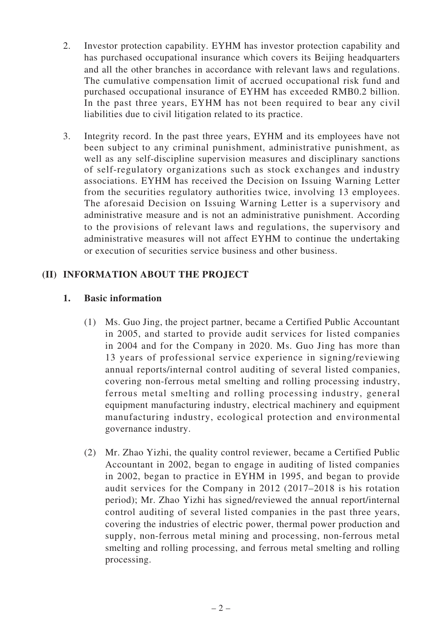- 2. Investor protection capability. EYHM has investor protection capability and has purchased occupational insurance which covers its Beijing headquarters and all the other branches in accordance with relevant laws and regulations. The cumulative compensation limit of accrued occupational risk fund and purchased occupational insurance of EYHM has exceeded RMB0.2 billion. In the past three years, EYHM has not been required to bear any civil liabilities due to civil litigation related to its practice.
- 3. Integrity record. In the past three years, EYHM and its employees have not been subject to any criminal punishment, administrative punishment, as well as any self-discipline supervision measures and disciplinary sanctions of self-regulatory organizations such as stock exchanges and industry associations. EYHM has received the Decision on Issuing Warning Letter from the securities regulatory authorities twice, involving 13 employees. The aforesaid Decision on Issuing Warning Letter is a supervisory and administrative measure and is not an administrative punishment. According to the provisions of relevant laws and regulations, the supervisory and administrative measures will not affect EYHM to continue the undertaking or execution of securities service business and other business.

# **(II) INFORMATION ABOUT THE PROJECT**

#### **1. Basic information**

- (1) Ms. Guo Jing, the project partner, became a Certified Public Accountant in 2005, and started to provide audit services for listed companies in 2004 and for the Company in 2020. Ms. Guo Jing has more than 13 years of professional service experience in signing/reviewing annual reports/internal control auditing of several listed companies, covering non-ferrous metal smelting and rolling processing industry, ferrous metal smelting and rolling processing industry, general equipment manufacturing industry, electrical machinery and equipment manufacturing industry, ecological protection and environmental governance industry.
- (2) Mr. Zhao Yizhi, the quality control reviewer, became a Certified Public Accountant in 2002, began to engage in auditing of listed companies in 2002, began to practice in EYHM in 1995, and began to provide audit services for the Company in 2012 (2017–2018 is his rotation period); Mr. Zhao Yizhi has signed/reviewed the annual report/internal control auditing of several listed companies in the past three years, covering the industries of electric power, thermal power production and supply, non-ferrous metal mining and processing, non-ferrous metal smelting and rolling processing, and ferrous metal smelting and rolling processing.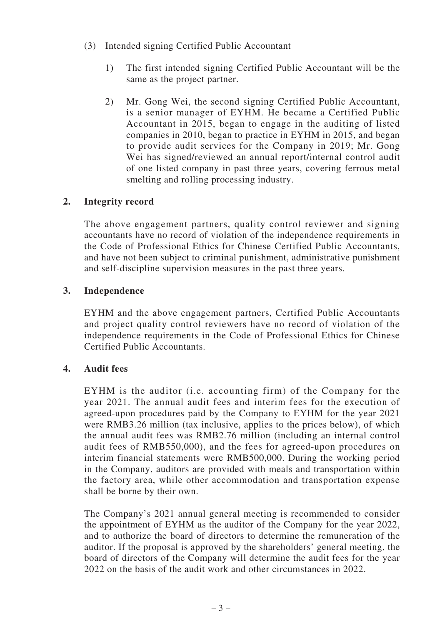- (3) Intended signing Certified Public Accountant
	- 1) The first intended signing Certified Public Accountant will be the same as the project partner.
	- 2) Mr. Gong Wei, the second signing Certified Public Accountant, is a senior manager of EYHM. He became a Certified Public Accountant in 2015, began to engage in the auditing of listed companies in 2010, began to practice in EYHM in 2015, and began to provide audit services for the Company in 2019; Mr. Gong Wei has signed/reviewed an annual report/internal control audit of one listed company in past three years, covering ferrous metal smelting and rolling processing industry.

# **2. Integrity record**

The above engagement partners, quality control reviewer and signing accountants have no record of violation of the independence requirements in the Code of Professional Ethics for Chinese Certified Public Accountants, and have not been subject to criminal punishment, administrative punishment and self-discipline supervision measures in the past three years.

#### **3. Independence**

EYHM and the above engagement partners, Certified Public Accountants and project quality control reviewers have no record of violation of the independence requirements in the Code of Professional Ethics for Chinese Certified Public Accountants.

#### **4. Audit fees**

EYHM is the auditor (i.e. accounting firm) of the Company for the year 2021. The annual audit fees and interim fees for the execution of agreed-upon procedures paid by the Company to EYHM for the year 2021 were RMB3.26 million (tax inclusive, applies to the prices below), of which the annual audit fees was RMB2.76 million (including an internal control audit fees of RMB550,000), and the fees for agreed-upon procedures on interim financial statements were RMB500,000. During the working period in the Company, auditors are provided with meals and transportation within the factory area, while other accommodation and transportation expense shall be borne by their own.

The Company's 2021 annual general meeting is recommended to consider the appointment of EYHM as the auditor of the Company for the year 2022, and to authorize the board of directors to determine the remuneration of the auditor. If the proposal is approved by the shareholders' general meeting, the board of directors of the Company will determine the audit fees for the year 2022 on the basis of the audit work and other circumstances in 2022.